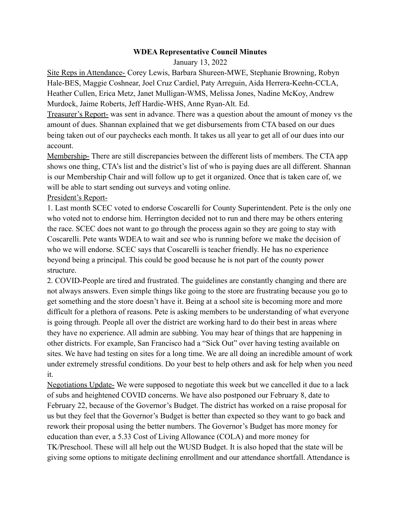## **WDEA Representative Council Minutes**

January 13, 2022

Site Reps in Attendance- Corey Lewis, Barbara Shureen-MWE, Stephanie Browning, Robyn Hale-BES, Maggie Coshnear, Joel Cruz Cardiel, Paty Arreguin, Aida Herrera-Keehn-CCLA, Heather Cullen, Erica Metz, Janet Mulligan-WMS, Melissa Jones, Nadine McKoy, Andrew Murdock, Jaime Roberts, Jeff Hardie-WHS, Anne Ryan-Alt. Ed.

Treasurer's Report- was sent in advance. There was a question about the amount of money vs the amount of dues. Shannan explained that we get disbursements from CTA based on our dues being taken out of our paychecks each month. It takes us all year to get all of our dues into our account.

Membership- There are still discrepancies between the different lists of members. The CTA app shows one thing, CTA's list and the district's list of who is paying dues are all different. Shannan is our Membership Chair and will follow up to get it organized. Once that is taken care of, we will be able to start sending out surveys and voting online.

President's Report-

1. Last month SCEC voted to endorse Coscarelli for County Superintendent. Pete is the only one who voted not to endorse him. Herrington decided not to run and there may be others entering the race. SCEC does not want to go through the process again so they are going to stay with Coscarelli. Pete wants WDEA to wait and see who is running before we make the decision of who we will endorse. SCEC says that Coscarelli is teacher friendly. He has no experience beyond being a principal. This could be good because he is not part of the county power structure.

2. COVID-People are tired and frustrated. The guidelines are constantly changing and there are not always answers. Even simple things like going to the store are frustrating because you go to get something and the store doesn't have it. Being at a school site is becoming more and more difficult for a plethora of reasons. Pete is asking members to be understanding of what everyone is going through. People all over the district are working hard to do their best in areas where they have no experience. All admin are subbing. You may hear of things that are happening in other districts. For example, San Francisco had a "Sick Out" over having testing available on sites. We have had testing on sites for a long time. We are all doing an incredible amount of work under extremely stressful conditions. Do your best to help others and ask for help when you need it.

Negotiations Update- We were supposed to negotiate this week but we cancelled it due to a lack of subs and heightened COVID concerns. We have also postponed our February 8, date to February 22, because of the Governor's Budget. The district has worked on a raise proposal for us but they feel that the Governor's Budget is better than expected so they want to go back and rework their proposal using the better numbers. The Governor's Budget has more money for education than ever, a 5.33 Cost of Living Allowance (COLA) and more money for TK/Preschool. These will all help out the WUSD Budget. It is also hoped that the state will be giving some options to mitigate declining enrollment and our attendance shortfall. Attendance is